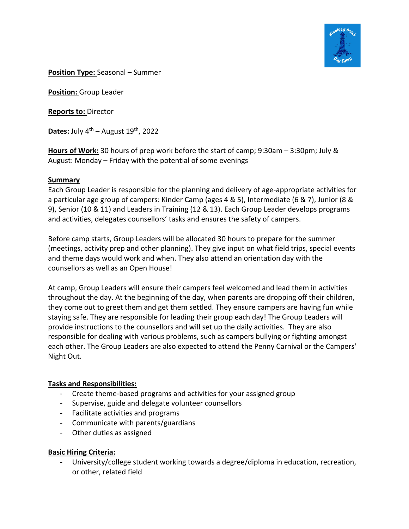

## **Position Type:** Seasonal – Summer

**Position:** Group Leader

**Reports to:** Director

**Dates:** July  $4^{th}$  – August  $19^{th}$ , 2022

**Hours of Work:** 30 hours of prep work before the start of camp; 9:30am – 3:30pm; July & August: Monday – Friday with the potential of some evenings

## **Summary**

Each Group Leader is responsible for the planning and delivery of age-appropriate activities for a particular age group of campers: Kinder Camp (ages 4 & 5), Intermediate (6 & 7), Junior (8 & 9), Senior (10 & 11) and Leaders in Training (12 & 13). Each Group Leader develops programs and activities, delegates counsellors' tasks and ensures the safety of campers.

Before camp starts, Group Leaders will be allocated 30 hours to prepare for the summer (meetings, activity prep and other planning). They give input on what field trips, special events and theme days would work and when. They also attend an orientation day with the counsellors as well as an Open House!

At camp, Group Leaders will ensure their campers feel welcomed and lead them in activities throughout the day. At the beginning of the day, when parents are dropping off their children, they come out to greet them and get them settled. They ensure campers are having fun while staying safe. They are responsible for leading their group each day! The Group Leaders will provide instructions to the counsellors and will set up the daily activities. They are also responsible for dealing with various problems, such as campers bullying or fighting amongst each other. The Group Leaders are also expected to attend the Penny Carnival or the Campers' Night Out.

# **Tasks and Responsibilities:**

- Create theme-based programs and activities for your assigned group
- Supervise, guide and delegate volunteer counsellors
- Facilitate activities and programs
- Communicate with parents/guardians
- Other duties as assigned

#### **Basic Hiring Criteria:**

University/college student working towards a degree/diploma in education, recreation, or other, related field